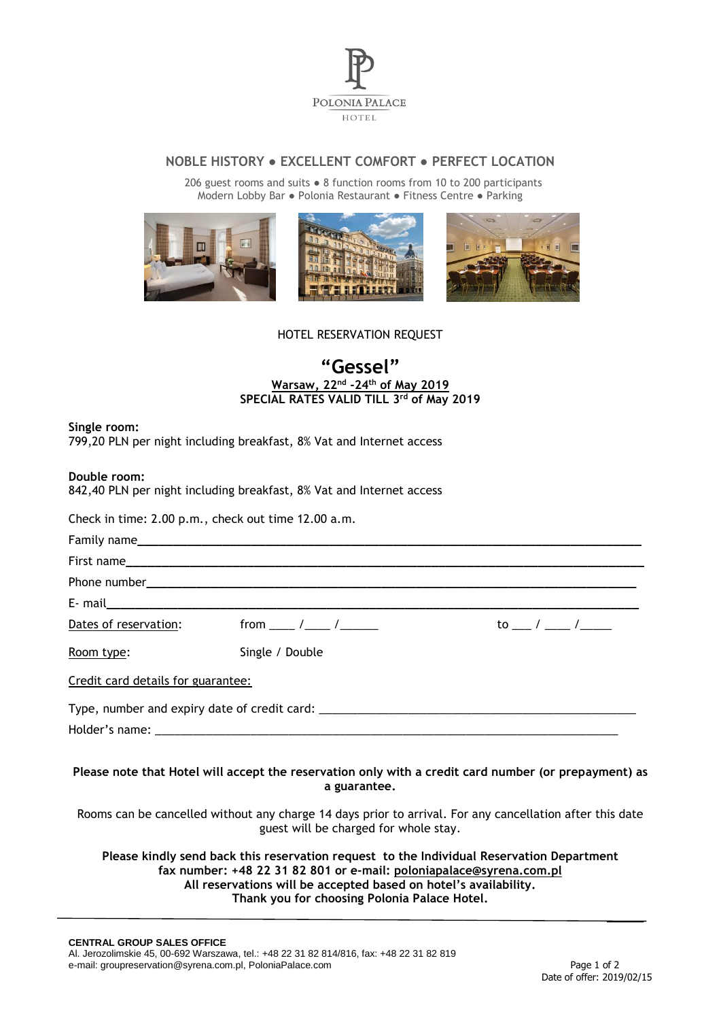

## **NOBLE HISTORY ● EXCELLENT COMFORT ● PERFECT LOCATION**

 206 guest rooms and suits ● 8 function rooms from 10 to 200 participants Modern Lobby Bar ● Polonia Restaurant ● Fitness Centre ● Parking



HOTEL RESERVATION REQUEST

## **"Gessel" Warsaw, 22nd -24th of May 2019 SPECIAL RATES VALID TILL 3 rd of May 2019**

**Single room:**

799,20 PLN per night including breakfast, 8% Vat and Internet access

**Double room:**

842,40 PLN per night including breakfast, 8% Vat and Internet access

Check in time: 2.00 p.m., check out time 12.00 a.m.

| Dates of reservation:              |                 | to __ / __ / ___ _ __ |
|------------------------------------|-----------------|-----------------------|
| Room type:                         | Single / Double |                       |
| Credit card details for guarantee: |                 |                       |
|                                    |                 |                       |
|                                    |                 |                       |

**Please note that Hotel will accept the reservation only with a credit card number (or prepayment) as a guarantee.**

Rooms can be cancelled without any charge 14 days prior to arrival. For any cancellation after this date guest will be charged for whole stay.

**Please kindly send back this reservation request to the Individual Reservation Department fax number: +48 22 31 82 801 or e-mail: [poloniapalace@syrena.com.pl](mailto:poloniapalace@syrena.com.pl) All reservations will be accepted based on hotel's availability. Thank you for choosing Polonia Palace Hotel.**